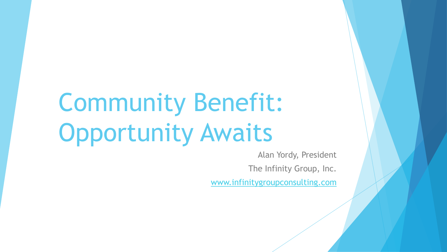# Community Benefit: Opportunity Awaits

Alan Yordy, President The Infinity Group, Inc.

[www.infinitygroupconsulting.com](http://www.infinitygroupconsulting.com/)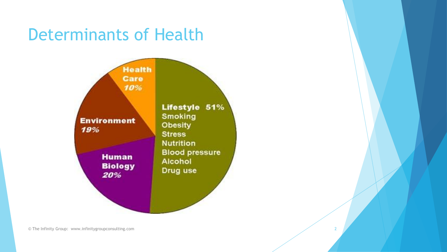#### Determinants of Health

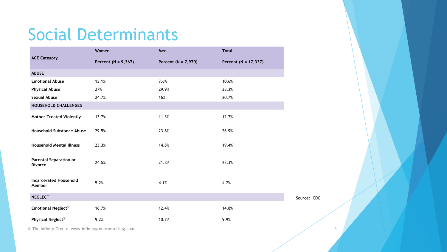# Social Determinants

| <b>ACE Category</b>                             | Women                   | Men                     | <b>Total</b>         |             |
|-------------------------------------------------|-------------------------|-------------------------|----------------------|-------------|
|                                                 | Percent ( $N = 9,367$ ) | Percent ( $N = 7,970$ ) | Percent (N = 17,337) |             |
| <b>ABUSE</b>                                    |                         |                         |                      |             |
| <b>Emotional Abuse</b>                          | 13.1%                   | 7.6%                    | 10.6%                |             |
| <b>Physical Abuse</b>                           | 27%                     | 29.9%                   | 28.3%                |             |
| <b>Sexual Abuse</b>                             | 24.7%                   | 16%                     | 20.7%                |             |
| HOUSEHOLD CHALLENGES                            |                         |                         |                      |             |
| <b>Mother Treated Violently</b>                 | 13.7%                   | 11.5%                   | 12.7%                |             |
| Household Substance Abuse                       | 29.5%                   | 23.8%                   | 26.9%                |             |
| <b>Household Mental Illness</b>                 | 23.3%                   | 14.8%                   | 19.4%                |             |
| <b>Parental Separation or</b><br><b>Divorce</b> | 24.5%                   | 21.8%                   | 23.3%                |             |
| <b>Incarcerated Household</b><br>Member         | 5.2%                    | 4.1%                    | 4.7%                 |             |
| <b>NEGLECT</b>                                  |                         |                         |                      | Source: CDC |
| <b>Emotional Neglect<sup>3</sup></b>            | 16.7%                   | 12.4%                   | 14.8%                |             |
| Physical Neglect <sup>3</sup>                   | 9.2%                    | 10.7%                   | 9.9%                 |             |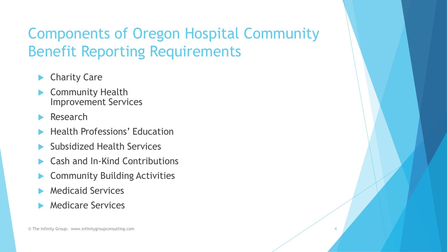#### Components of Oregon Hospital Community Benefit Reporting Requirements

- Charity Care
- Community Health Improvement Services
- Research
- Health Professions' Education
- Subsidized Health Services
- Cash and In-Kind Contributions
- Community Building Activities
- Medicaid Services
- Medicare Services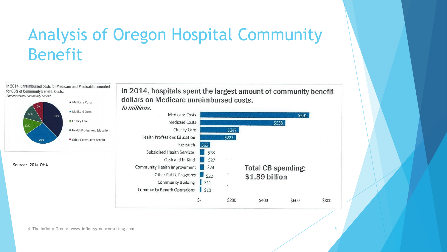# Analysis of Oregon Hospital Community Benefit

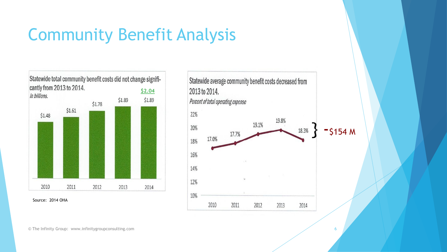# Community Benefit Analysis

Statewide total community benefit costs did not change significantly from 2013 to 2014. **\$2.04** In billions. \$1.89 \$1.89 \$1.78  $$1.61$ \$1.48 2010 2011 2012 2013 2014

Source: 2014 OHA

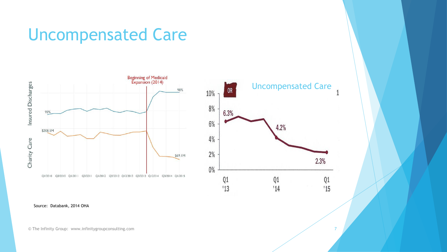#### Uncompensated Care





Source: Databank, 2014 OHA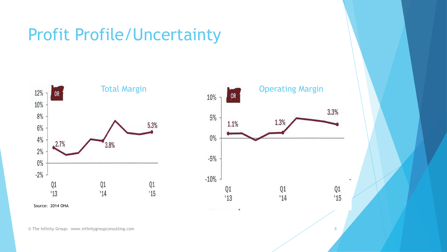## Profit Profile/Uncertainty